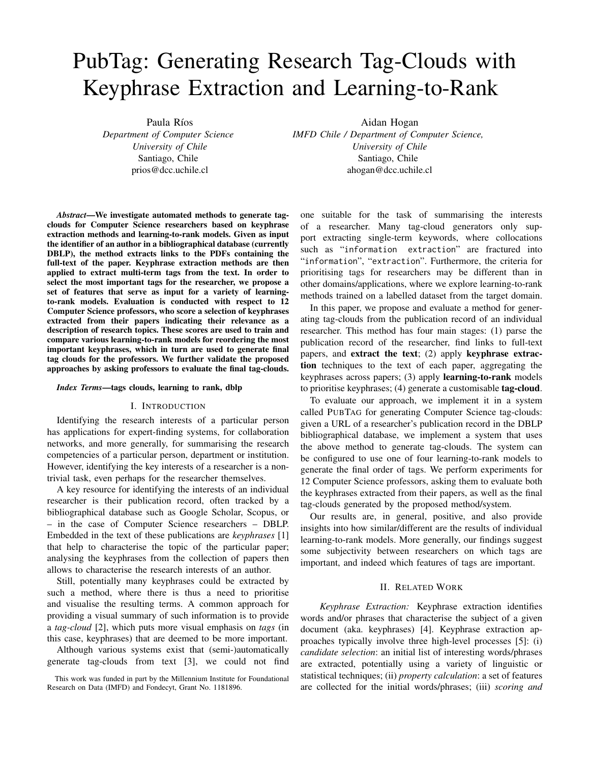# PubTag: Generating Research Tag-Clouds with Keyphrase Extraction and Learning-to-Rank

Paula Ríos

*Department of Computer Science University of Chile* Santiago, Chile prios@dcc.uchile.cl

*Abstract*—We investigate automated methods to generate tagclouds for Computer Science researchers based on keyphrase extraction methods and learning-to-rank models. Given as input the identifier of an author in a bibliographical database (currently DBLP), the method extracts links to the PDFs containing the full-text of the paper. Keyphrase extraction methods are then applied to extract multi-term tags from the text. In order to select the most important tags for the researcher, we propose a set of features that serve as input for a variety of learningto-rank models. Evaluation is conducted with respect to 12 Computer Science professors, who score a selection of keyphrases extracted from their papers indicating their relevance as a description of research topics. These scores are used to train and compare various learning-to-rank models for reordering the most important keyphrases, which in turn are used to generate final tag clouds for the professors. We further validate the proposed approaches by asking professors to evaluate the final tag-clouds.

#### *Index Terms*—tags clouds, learning to rank, dblp

## I. INTRODUCTION

Identifying the research interests of a particular person has applications for expert-finding systems, for collaboration networks, and more generally, for summarising the research competencies of a particular person, department or institution. However, identifying the key interests of a researcher is a nontrivial task, even perhaps for the researcher themselves.

A key resource for identifying the interests of an individual researcher is their publication record, often tracked by a bibliographical database such as Google Scholar, Scopus, or – in the case of Computer Science researchers – DBLP. Embedded in the text of these publications are *keyphrases* [\[1\]](#page-3-0) that help to characterise the topic of the particular paper; analysing the keyphrases from the collection of papers then allows to characterise the research interests of an author.

Still, potentially many keyphrases could be extracted by such a method, where there is thus a need to prioritise and visualise the resulting terms. A common approach for providing a visual summary of such information is to provide a *tag-cloud* [\[2\]](#page-3-1), which puts more visual emphasis on *tags* (in this case, keyphrases) that are deemed to be more important.

Although various systems exist that (semi-)automatically generate tag-clouds from text [\[3\]](#page-3-2), we could not find Aidan Hogan

*IMFD Chile / Department of Computer Science, University of Chile* Santiago, Chile ahogan@dcc.uchile.cl

one suitable for the task of summarising the interests of a researcher. Many tag-cloud generators only support extracting single-term keywords, where collocations such as "information extraction" are fractured into "information", "extraction". Furthermore, the criteria for prioritising tags for researchers may be different than in other domains/applications, where we explore learning-to-rank methods trained on a labelled dataset from the target domain.

In this paper, we propose and evaluate a method for generating tag-clouds from the publication record of an individual researcher. This method has four main stages: (1) parse the publication record of the researcher, find links to full-text papers, and extract the text; (2) apply keyphrase extraction techniques to the text of each paper, aggregating the keyphrases across papers; (3) apply learning-to-rank models to prioritise keyphrases; (4) generate a customisable tag-cloud.

To evaluate our approach, we implement it in a system called PUBTAG for generating Computer Science tag-clouds: given a URL of a researcher's publication record in the DBLP bibliographical database, we implement a system that uses the above method to generate tag-clouds. The system can be configured to use one of four learning-to-rank models to generate the final order of tags. We perform experiments for 12 Computer Science professors, asking them to evaluate both the keyphrases extracted from their papers, as well as the final tag-clouds generated by the proposed method/system.

Our results are, in general, positive, and also provide insights into how similar/different are the results of individual learning-to-rank models. More generally, our findings suggest some subjectivity between researchers on which tags are important, and indeed which features of tags are important.

## II. RELATED WORK

*Keyphrase Extraction:* Keyphrase extraction identifies words and/or phrases that characterise the subject of a given document (aka. keyphrases) [\[4\]](#page-3-3). Keyphrase extraction approaches typically involve three high-level processes [\[5\]](#page-3-4): (i) *candidate selection*: an initial list of interesting words/phrases are extracted, potentially using a variety of linguistic or statistical techniques; (ii) *property calculation*: a set of features are collected for the initial words/phrases; (iii) *scoring and*

This work was funded in part by the Millennium Institute for Foundational Research on Data (IMFD) and Fondecyt, Grant No. 1181896.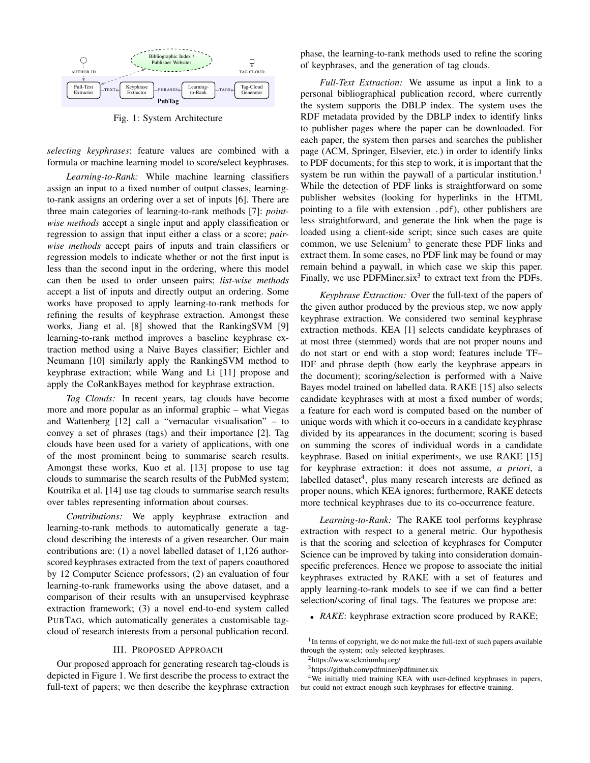<span id="page-1-0"></span>

Fig. 1: System Architecture

*selecting keyphrases*: feature values are combined with a formula or machine learning model to score/select keyphrases.

*Learning-to-Rank:* While machine learning classifiers assign an input to a fixed number of output classes, learningto-rank assigns an ordering over a set of inputs [\[6\]](#page-3-5). There are three main categories of learning-to-rank methods [\[7\]](#page-3-6): *pointwise methods* accept a single input and apply classification or regression to assign that input either a class or a score; *pairwise methods* accept pairs of inputs and train classifiers or regression models to indicate whether or not the first input is less than the second input in the ordering, where this model can then be used to order unseen pairs; *list-wise methods* accept a list of inputs and directly output an ordering. Some works have proposed to apply learning-to-rank methods for refining the results of keyphrase extraction. Amongst these works, Jiang et al. [\[8\]](#page-3-7) showed that the RankingSVM [\[9\]](#page-3-8) learning-to-rank method improves a baseline keyphrase extraction method using a Naive Bayes classifier; Eichler and Neumann [\[10\]](#page-3-9) similarly apply the RankingSVM method to keyphrase extraction; while Wang and Li [\[11\]](#page-3-10) propose and apply the CoRankBayes method for keyphrase extraction.

*Tag Clouds:* In recent years, tag clouds have become more and more popular as an informal graphic – what Viegas and Wattenberg [\[12\]](#page-3-11) call a "vernacular visualisation" – to convey a set of phrases (tags) and their importance [\[2\]](#page-3-1). Tag clouds have been used for a variety of applications, with one of the most prominent being to summarise search results. Amongst these works, Kuo et al. [\[13\]](#page-3-12) propose to use tag clouds to summarise the search results of the PubMed system; Koutrika et al. [\[14\]](#page-3-13) use tag clouds to summarise search results over tables representing information about courses.

*Contributions:* We apply keyphrase extraction and learning-to-rank methods to automatically generate a tagcloud describing the interests of a given researcher. Our main contributions are: (1) a novel labelled dataset of 1,126 authorscored keyphrases extracted from the text of papers coauthored by 12 Computer Science professors; (2) an evaluation of four learning-to-rank frameworks using the above dataset, and a comparison of their results with an unsupervised keyphrase extraction framework; (3) a novel end-to-end system called PUBTAG, which automatically generates a customisable tagcloud of research interests from a personal publication record.

### III. PROPOSED APPROACH

Our proposed approach for generating research tag-clouds is depicted in Figure [1.](#page-1-0) We first describe the process to extract the full-text of papers; we then describe the keyphrase extraction phase, the learning-to-rank methods used to refine the scoring of keyphrases, and the generation of tag clouds.

*Full-Text Extraction:* We assume as input a link to a personal bibliographical publication record, where currently the system supports the DBLP index. The system uses the RDF metadata provided by the DBLP index to identify links to publisher pages where the paper can be downloaded. For each paper, the system then parses and searches the publisher page (ACM, Springer, Elsevier, etc.) in order to identify links to PDF documents; for this step to work, it is important that the system be run within the paywall of a particular institution.<sup>[1](#page-1-1)</sup> While the detection of PDF links is straightforward on some publisher websites (looking for hyperlinks in the HTML pointing to a file with extension .pdf), other publishers are less straightforward, and generate the link when the page is loaded using a client-side script; since such cases are quite common, we use Selenium<sup>[2](#page-1-2)</sup> to generate these PDF links and extract them. In some cases, no PDF link may be found or may remain behind a paywall, in which case we skip this paper. Finally, we use PDFMiner.six<sup>[3](#page-1-3)</sup> to extract text from the PDFs.

*Keyphrase Extraction:* Over the full-text of the papers of the given author produced by the previous step, we now apply keyphrase extraction. We considered two seminal keyphrase extraction methods. KEA [\[1\]](#page-3-0) selects candidate keyphrases of at most three (stemmed) words that are not proper nouns and do not start or end with a stop word; features include TF– IDF and phrase depth (how early the keyphrase appears in the document); scoring/selection is performed with a Naive Bayes model trained on labelled data. RAKE [\[15\]](#page-3-14) also selects candidate keyphrases with at most a fixed number of words; a feature for each word is computed based on the number of unique words with which it co-occurs in a candidate keyphrase divided by its appearances in the document; scoring is based on summing the scores of individual words in a candidate keyphrase. Based on initial experiments, we use RAKE [\[15\]](#page-3-14) for keyphrase extraction: it does not assume, *a priori*, a labelled dataset<sup>[4](#page-1-4)</sup>, plus many research interests are defined as proper nouns, which KEA ignores; furthermore, RAKE detects more technical keyphrases due to its co-occurrence feature.

*Learning-to-Rank:* The RAKE tool performs keyphrase extraction with respect to a general metric. Our hypothesis is that the scoring and selection of keyphrases for Computer Science can be improved by taking into consideration domainspecific preferences. Hence we propose to associate the initial keyphrases extracted by RAKE with a set of features and apply learning-to-rank models to see if we can find a better selection/scoring of final tags. The features we propose are:

• *RAKE*: keyphrase extraction score produced by RAKE;

<span id="page-1-1"></span><sup>1</sup>In terms of copyright, we do not make the full-text of such papers available through the system; only selected keyphrases.

<span id="page-1-2"></span><sup>2</sup><https://www.seleniumhq.org/>

<sup>4</sup>We initially tried training KEA with user-defined keyphrases in papers, but could not extract enough such keyphrases for effective training.

<span id="page-1-4"></span><span id="page-1-3"></span><sup>3</sup><https://github.com/pdfminer/pdfminer.six>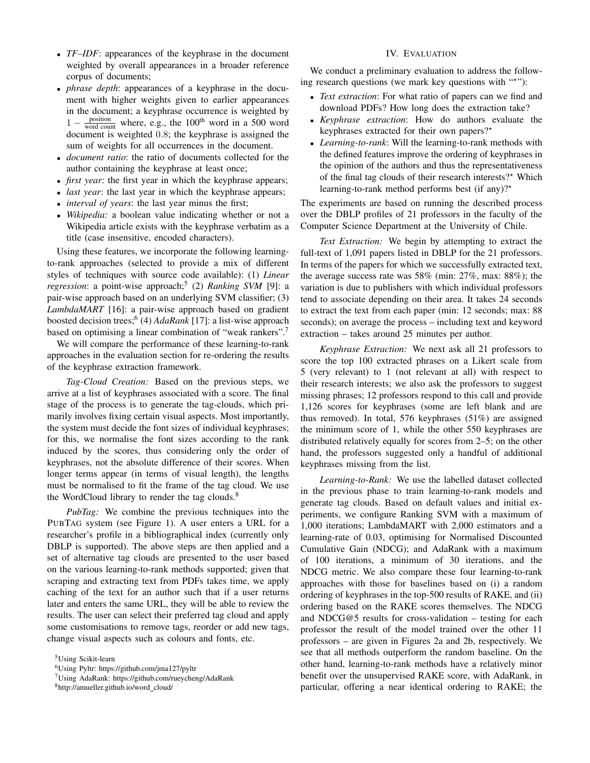- *TF–IDF*: appearances of the keyphrase in the document weighted by overall appearances in a broader reference corpus of documents;
- *phrase depth*: appearances of a keyphrase in the document with higher weights given to earlier appearances in the document; a keyphrase occurrence is weighted by  $1 - \frac{\text{position}}{\text{word count}}$  where, e.g., the 100<sup>th</sup> word in a 500 word document is weighted 0.8; the keyphrase is assigned the sum of weights for all occurrences in the document.
- *document ratio*: the ratio of documents collected for the author containing the keyphrase at least once;
- *first year*: the first year in which the keyphrase appears;
- *last year*: the last year in which the keyphrase appears;
- *interval of years*: the last year minus the first;
- *Wikipedia:* a boolean value indicating whether or not a Wikipedia article exists with the keyphrase verbatim as a title (case insensitive, encoded characters).

Using these features, we incorporate the following learningto-rank approaches (selected to provide a mix of different styles of techniques with source code available): (1) *Linear regression*: a point-wise approach;<sup>[5](#page-2-0)</sup> (2) *Ranking SVM* [\[9\]](#page-3-8): a pair-wise approach based on an underlying SVM classifier; (3) *LambdaMART* [\[16\]](#page-3-15): a pair-wise approach based on gradient boosted decision trees;[6](#page-2-1) (4) *AdaRank* [\[17\]](#page-3-16): a list-wise approach based on optimising a linear combination of "weak rankers".[7](#page-2-2)

We will compare the performance of these learning-to-rank approaches in the evaluation section for re-ordering the results of the keyphrase extraction framework.

*Tag-Cloud Creation:* Based on the previous steps, we arrive at a list of keyphrases associated with a score. The final stage of the process is to generate the tag-clouds, which primarily involves fixing certain visual aspects. Most importantly, the system must decide the font sizes of individual keyphrases; for this, we normalise the font sizes according to the rank induced by the scores, thus considering only the order of keyphrases, not the absolute difference of their scores. When longer terms appear (in terms of visual length), the lengths must be normalised to fit the frame of the tag cloud. We use the WordCloud library to render the tag clouds.<sup>[8](#page-2-3)</sup>

*PubTag:* We combine the previous techniques into the PUBTAG system (see Figure [1\)](#page-1-0). A user enters a URL for a researcher's profile in a bibliographical index (currently only DBLP is supported). The above steps are then applied and a set of alternative tag clouds are presented to the user based on the various learning-to-rank methods supported; given that scraping and extracting text from PDFs takes time, we apply caching of the text for an author such that if a user returns later and enters the same URL, they will be able to review the results. The user can select their preferred tag cloud and apply some customisations to remove tags, reorder or add new tags, change visual aspects such as colours and fonts, etc.

<span id="page-2-3"></span><sup>8</sup>[http://amueller.github.io/word](http://amueller.github.io/word_cloud/) cloud/

# IV. EVALUATION

We conduct a preliminary evaluation to address the following research questions (we mark key questions with "\*"):

- *Text extraction*: For what ratio of papers can we find and download PDFs? How long does the extraction take?
- *Keyphrase extraction*: How do authors evaluate the keyphrases extracted for their own papers??
- *Learning-to-rank*: Will the learning-to-rank methods with the defined features improve the ordering of keyphrases in the opinion of the authors and thus the representativeness of the final tag clouds of their research interests? $*$  Which learning-to-rank method performs best (if any)?<sup>\*</sup>

The experiments are based on running the described process over the DBLP profiles of 21 professors in the faculty of the Computer Science Department at the University of Chile.

*Text Extraction:* We begin by attempting to extract the full-text of 1,091 papers listed in DBLP for the 21 professors. In terms of the papers for which we successfully extracted text, the average success rate was 58% (min: 27%, max: 88%); the variation is due to publishers with which individual professors tend to associate depending on their area. It takes 24 seconds to extract the text from each paper (min: 12 seconds; max: 88 seconds); on average the process – including text and keyword extraction – takes around 25 minutes per author.

*Keyphrase Extraction:* We next ask all 21 professors to score the top 100 extracted phrases on a Likert scale from 5 (very relevant) to 1 (not relevant at all) with respect to their research interests; we also ask the professors to suggest missing phrases; 12 professors respond to this call and provide 1,126 scores for keyphrases (some are left blank and are thus removed). In total, 576 keyphrases (51%) are assigned the minimum score of 1, while the other 550 keyphrases are distributed relatively equally for scores from 2–5; on the other hand, the professors suggested only a handful of additional keyphrases missing from the list.

*Learning-to-Rank:* We use the labelled dataset collected in the previous phase to train learning-to-rank models and generate tag clouds. Based on default values and initial experiments, we configure Ranking SVM with a maximum of 1,000 iterations; LambdaMART with 2,000 estimators and a learning-rate of 0.03, optimising for Normalised Discounted Cumulative Gain (NDCG); and AdaRank with a maximum of 100 iterations, a minimum of 30 iterations, and the NDCG metric. We also compare these four learning-to-rank approaches with those for baselines based on (i) a random ordering of keyphrases in the top-500 results of RAKE, and (ii) ordering based on the RAKE scores themselves. The NDCG and NDCG@5 results for cross-validation – testing for each professor the result of the model trained over the other 11 professors – are given in Figures [2a](#page-3-17) and [2b,](#page-3-17) respectively. We see that all methods outperform the random baseline. On the other hand, learning-to-rank methods have a relatively minor benefit over the unsupervised RAKE score, with AdaRank, in particular, offering a near identical ordering to RAKE; the

<span id="page-2-0"></span><sup>&</sup>lt;sup>5</sup>Using Scikit-learn

<span id="page-2-1"></span><sup>6</sup>Using Pyltr:<https://github.com/jma127/pyltr>

<span id="page-2-2"></span><sup>7</sup>Using AdaRank:<https://github.com/rueycheng/AdaRank>